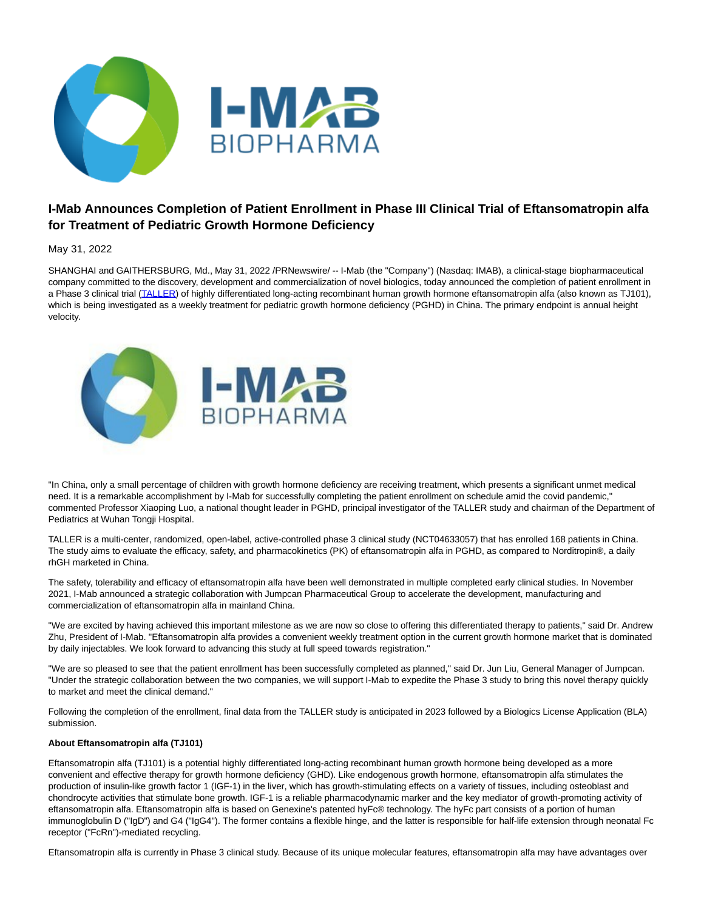

## **I-Mab Announces Completion of Patient Enrollment in Phase III Clinical Trial of Eftansomatropin alfa for Treatment of Pediatric Growth Hormone Deficiency**

May 31, 2022

SHANGHAI and GAITHERSBURG, Md., May 31, 2022 /PRNewswire/ -- I-Mab (the "Company") (Nasdaq: IMAB), a clinical-stage biopharmaceutical company committed to the discovery, development and commercialization of novel biologics, today announced the completion of patient enrollment in a Phase 3 clinical trial [\(TALLER\)](https://www.clinicaltrials.gov/ct2/show/NCT04633057?term=NCT04633057&draw=2&rank=1) of highly differentiated long-acting recombinant human growth hormone eftansomatropin alfa (also known as TJ101), which is being investigated as a weekly treatment for pediatric growth hormone deficiency (PGHD) in China. The primary endpoint is annual height velocity.



"In China, only a small percentage of children with growth hormone deficiency are receiving treatment, which presents a significant unmet medical need. It is a remarkable accomplishment by I-Mab for successfully completing the patient enrollment on schedule amid the covid pandemic," commented Professor Xiaoping Luo, a national thought leader in PGHD, principal investigator of the TALLER study and chairman of the Department of Pediatrics at Wuhan Tongji Hospital.

TALLER is a multi-center, randomized, open-label, active-controlled phase 3 clinical study (NCT04633057) that has enrolled 168 patients in China. The study aims to evaluate the efficacy, safety, and pharmacokinetics (PK) of eftansomatropin alfa in PGHD, as compared to Norditropin®, a daily rhGH marketed in China.

The safety, tolerability and efficacy of eftansomatropin alfa have been well demonstrated in multiple completed early clinical studies. In November 2021, I-Mab announced a strategic collaboration with Jumpcan Pharmaceutical Group to accelerate the development, manufacturing and commercialization of eftansomatropin alfa in mainland China.

"We are excited by having achieved this important milestone as we are now so close to offering this differentiated therapy to patients," said Dr. Andrew Zhu, President of I-Mab. "Eftansomatropin alfa provides a convenient weekly treatment option in the current growth hormone market that is dominated by daily injectables. We look forward to advancing this study at full speed towards registration."

"We are so pleased to see that the patient enrollment has been successfully completed as planned," said Dr. Jun Liu, General Manager of Jumpcan. "Under the strategic collaboration between the two companies, we will support I-Mab to expedite the Phase 3 study to bring this novel therapy quickly to market and meet the clinical demand."

Following the completion of the enrollment, final data from the TALLER study is anticipated in 2023 followed by a Biologics License Application (BLA) submission.

## **About Eftansomatropin alfa (TJ101)**

Eftansomatropin alfa (TJ101) is a potential highly differentiated long-acting recombinant human growth hormone being developed as a more convenient and effective therapy for growth hormone deficiency (GHD). Like endogenous growth hormone, eftansomatropin alfa stimulates the production of insulin-like growth factor 1 (IGF-1) in the liver, which has growth-stimulating effects on a variety of tissues, including osteoblast and chondrocyte activities that stimulate bone growth. IGF-1 is a reliable pharmacodynamic marker and the key mediator of growth-promoting activity of eftansomatropin alfa. Eftansomatropin alfa is based on Genexine's patented hyFc® technology. The hyFc part consists of a portion of human immunoglobulin D ("IgD") and G4 ("IgG4"). The former contains a flexible hinge, and the latter is responsible for half-life extension through neonatal Fc receptor ("FcRn")-mediated recycling.

Eftansomatropin alfa is currently in Phase 3 clinical study. Because of its unique molecular features, eftansomatropin alfa may have advantages over